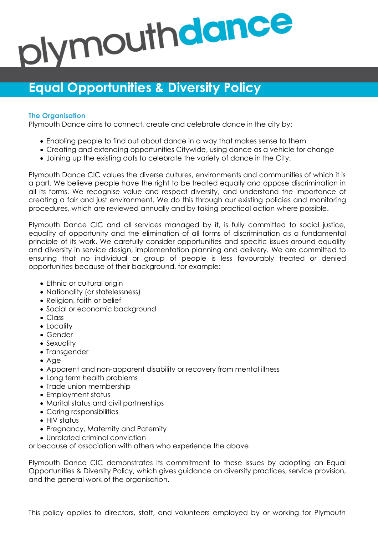# plymouthdance

# **Equal Opportunities & Diversity Policy**

## **The Organisation**

Plymouth Dance aims to connect, create and celebrate dance in the city by:

- Enabling people to find out about dance in a way that makes sense to them
- Creating and extending opportunities Citywide, using dance as a vehicle for change
- Joining up the existing dots to celebrate the variety of dance in the City.

Plymouth Dance CIC values the diverse cultures, environments and communities of which it is a part. We believe people have the right to be treated equally and oppose discrimination in all its forms. We recognise value and respect diversity, and understand the importance of creating a fair and just environment. We do this through our existing policies and monitoring procedures, which are reviewed annually and by taking practical action where possible.

Plymouth Dance CIC and all services managed by it, is fully committed to social justice, equality of opportunity and the elimination of all forms of discrimination as a fundamental principle of its work. We carefully consider opportunities and specific issues around equality and diversity in service design, implementation planning and delivery. We are committed to ensuring that no individual or group of people is less favourably treated or denied opportunities because of their background, for example:

- Ethnic or cultural origin
- Nationality (or statelessness)
- Religion, faith or belief
- Social or economic background
- Class
- Locality
- Gender
- Sexuality
- Transgender
- Age
- Apparent and non-apparent disability or recovery from mental illness
- Long term health problems
- Trade union membership
- Employment status
- Marital status and civil partnerships
- Caring responsibilities
- HIV status
- Pregnancy, Maternity and Paternity
- Unrelated criminal conviction

or because of association with others who experience the above.

Plymouth Dance CIC demonstrates its commitment to these issues by adopting an Equal Opportunities & Diversity Policy, which gives guidance on diversity practices, service provision, and the general work of the organisation.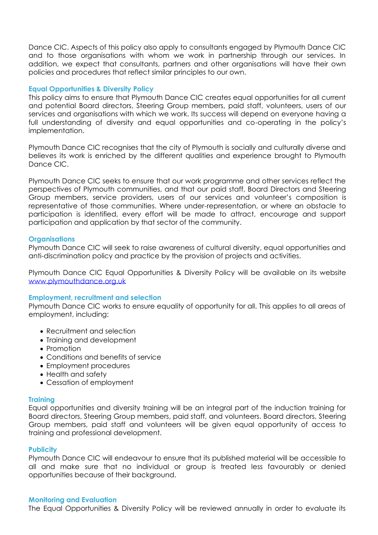Dance CIC. Aspects of this policy also apply to consultants engaged by Plymouth Dance CIC and to those organisations with whom we work in partnership through our services. In addition, we expect that consultants, partners and other organisations will have their own policies and procedures that reflect similar principles to our own.

### **Equal Opportunities & Diversity Policy**

This policy aims to ensure that Plymouth Dance CIC creates equal opportunities for all current and potential Board directors, Steering Group members, paid staff, volunteers, users of our services and organisations with which we work. Its success will depend on everyone having a full understanding of diversity and equal opportunities and co-operating in the policy's implementation.

Plymouth Dance CIC recognises that the city of Plymouth is socially and culturally diverse and believes its work is enriched by the different qualities and experience brought to Plymouth Dance CIC.

Plymouth Dance CIC seeks to ensure that our work programme and other services reflect the perspectives of Plymouth communities, and that our paid staff, Board Directors and Steering Group members, service providers, users of our services and volunteer's composition is representative of those communities. Where under-representation, or where an obstacle to participation is identified, every effort will be made to attract, encourage and support participation and application by that sector of the community.

### **Organisations**

Plymouth Dance CIC will seek to raise awareness of cultural diversity, equal opportunities and anti-discrimination policy and practice by the provision of projects and activities.

Plymouth Dance CIC Equal Opportunities & Diversity Policy will be available on its website [www.plymouthdance.org.uk](http://www.plymouthdance.org.uk/)

### **Employment, recruitment and selection**

Plymouth Dance CIC works to ensure equality of opportunity for all. This applies to all areas of employment, including:

- Recruitment and selection
- Training and development
- Promotion
- Conditions and benefits of service
- Employment procedures
- Health and safety
- Cessation of employment

### **Training**

Equal opportunities and diversity training will be an integral part of the induction training for Board directors, Steering Group members, paid staff, and volunteers. Board directors, Steering Group members, paid staff and volunteers will be given equal opportunity of access to training and professional development.

### **Publicity**

Plymouth Dance CIC will endeavour to ensure that its published material will be accessible to all and make sure that no individual or group is treated less favourably or denied opportunities because of their background.

### **Monitoring and Evaluation**

The Equal Opportunities & Diversity Policy will be reviewed annually in order to evaluate its